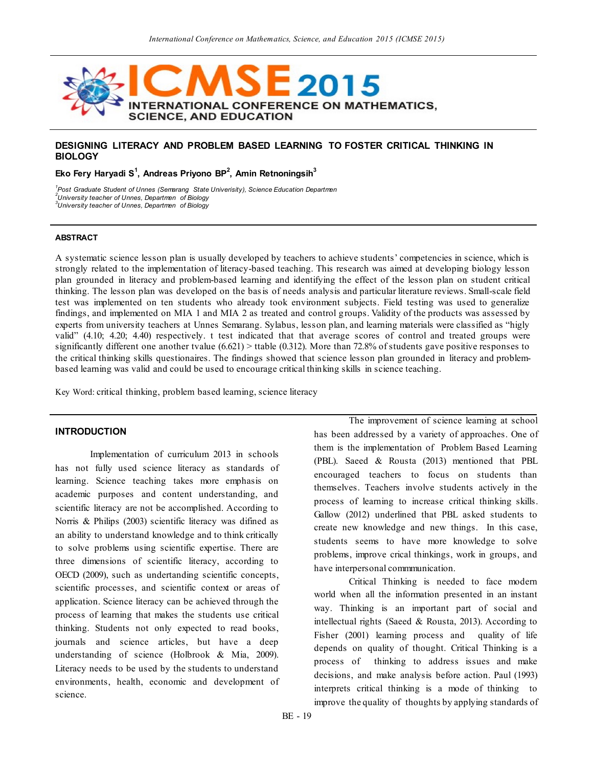

## **DESIGNING LITERACY AND PROBLEM BASED LEARNING TO FOSTER CRITICAL THINKING IN BIOLOGY**

**Eko Fery Haryadi S<sup>1</sup> , Andreas Priyono BP<sup>2</sup> , Amin Retnoningsih<sup>3</sup>**

*1 Post Graduate Student of Unnes (Semarang State Univerisity), Science Education Departmen 2 University teacher of Unnes, Departmen of Biology 3 University teacher of Unnes, Departmen of Biology*

#### **ABSTRACT**

A systematic science lesson plan is usually developed by teachers to achieve students" competencies in science, which is strongly related to the implementation of literacy-based teaching. This research was aimed at developing biology lesson plan grounded in literacy and problem-based learning and identifying the effect of the lesson plan on student critical thinking. The lesson plan was developed on the basis of needs analysis and particular literature reviews. Small-scale field test was implemented on ten students who already took environment subjects. Field testing was used to generalize findings, and implemented on MIA 1 and MIA 2 as treated and control groups. Validity of the products was assessed by experts from university teachers at Unnes Semarang. Sylabus, lesson plan, and learning materials were classified as "higly valid" (4.10; 4.20; 4.40) respectively. t test indicated that that average scores of control and treated groups were significantly different one another tvalue  $(6.621)$  > ttable  $(0.312)$ . More than 72.8% of students gave positive responses to the critical thinking skills questionaires. The findings showed that science lesson plan grounded in literacy and problembased learning was valid and could be used to encourage critical thinking skills in science teaching.

Key Word: critical thinking, problem based learning, science literacy

# **INTRODUCTION**

Implementation of curriculum 2013 in schools has not fully used science literacy as standards of learning. Science teaching takes more emphasis on academic purposes and content understanding, and scientific literacy are not be accomplished. According to Norris & Philips (2003) scientific literacy was difined as an ability to understand knowledge and to think critically to solve problems using scientific expertise. There are three dimensions of scientific literacy, according to OECD (2009), such as undertanding scientific concepts, scientific processes, and scientific context or areas of application. Science literacy can be achieved through the process of learning that makes the students use critical thinking. Students not only expected to read books, journals and science articles, but have a deep understanding of science (Holbrook & Mia, 2009). Literacy needs to be used by the students to understand environments, health, economic and development of science.

The improvement of science learning at school has been addressed by a variety of approaches. One of them is the implementation of Problem Based Learning (PBL). Saeed & Rousta (2013) mentioned that PBL encouraged teachers to focus on students than themselves. Teachers involve students actively in the process of learning to increase critical thinking skills. Gallow (2012) underlined that PBL asked students to create new knowledge and new things. In this case, students seems to have more knowledge to solve problems, improve crical thinkings, work in groups, and have interpersonal commmunication.

Critical Thinking is needed to face modern world when all the information presented in an instant way. Thinking is an important part of social and intellectual rights (Saeed & Rousta, 2013). According to Fisher (2001) learning process and quality of life depends on quality of thought. Critical Thinking is a process of thinking to address issues and make decisions, and make analysis before action. Paul (1993) interprets critical thinking is a mode of thinking to improve the quality of thoughts by applying standards of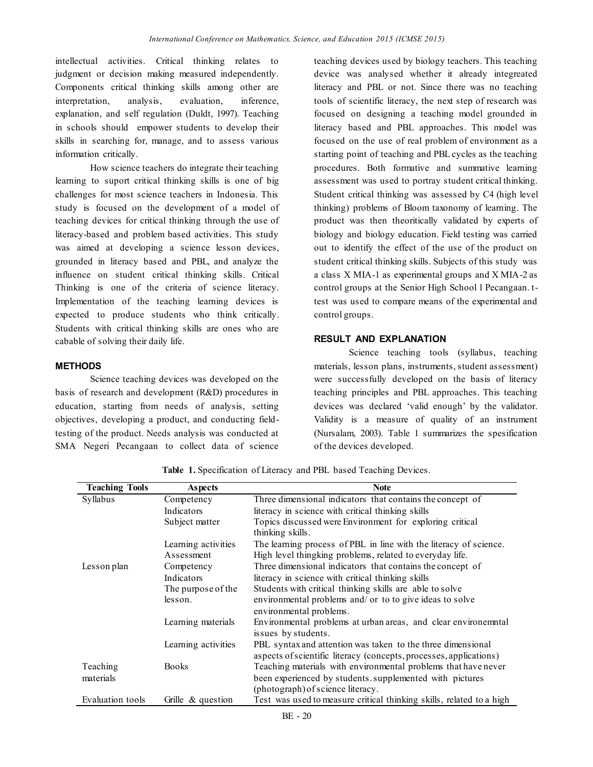intellectual activities. Critical thinking relates to judgment or decision making measured independently. Components critical thinking skills among other are interpretation, analysis, evaluation, inference, explanation, and self regulation (Duldt, 1997). Teaching in schools should empower students to develop their skills in searching for, manage, and to assess various information critically.

How science teachers do integrate their teaching learning to suport critical thinking skills is one of big challenges for most science teachers in Indonesia. This study is focused on the development of a model of teaching devices for critical thinking through the use of literacy-based and problem based activities. This study was aimed at developing a science lesson devices, grounded in literacy based and PBL, and analyze the influence on student critical thinking skills. Critical Thinking is one of the criteria of science literacy. Implementation of the teaching learning devices is expected to produce students who think critically. Students with critical thinking skills are ones who are cabable of solving their daily life.

#### **METHODS**

Science teaching devices was developed on the basis of research and development (R&D) procedures in education, starting from needs of analysis, setting objectives, developing a product, and conducting fieldtesting of the product. Needs analysis was conducted at SMA Negeri Pecangaan to collect data of science teaching devices used by biology teachers. This teaching device was analysed whether it already integreated literacy and PBL or not. Since there was no teaching tools of scientific literacy, the next step of research was focused on designing a teaching model grounded in literacy based and PBL approaches. This model was focused on the use of real problem of environment as a starting point of teaching and PBL cycles as the teaching procedures. Both formative and summative learning assessment was used to portray student critical thinking. Student critical thinking was assessed by C4 (high level thinking) problems of Bloom taxonomy of learning. The product was then theoritically validated by experts of biology and biology education. Field testing was carried out to identify the effect of the use of the product on student critical thinking skills. Subjects of this study was a class X MIA-1 as experimental groups and X MIA-2 as control groups at the Senior High School 1 Pecangaan. ttest was used to compare means of the experimental and control groups.

# **RESULT AND EXPLANATION**

Science teaching tools (syllabus, teaching materials, lesson plans, instruments, student assessment) were successfully developed on the basis of literacy teaching principles and PBL approaches. This teaching devices was declared "valid enough" by the validator. Validity is a measure of quality of an instrument (Nursalam, 2003). Table 1 summarizes the spesification of the devices developed.

| <b>Teaching Tools</b> | <b>Aspects</b>       | <b>Note</b>                                                          |
|-----------------------|----------------------|----------------------------------------------------------------------|
| Syllabus              | Competency           | Three dimensional indicators that contains the concept of            |
|                       | Indicators           | literacy in science with critical thinking skills                    |
|                       | Subject matter       | Topics discussed were Environment for exploring critical             |
|                       |                      | thinking skills.                                                     |
|                       | Learning activities  | The learning process of PBL in line with the literacy of science.    |
|                       | Assessment           | High level thingking problems, related to everyday life.             |
| Lesson plan           | Competency           | Three dimensional indicators that contains the concept of            |
|                       | Indicators           | literacy in science with critical thinking skills                    |
|                       | The purpose of the   | Students with critical thinking skills are able to solve             |
|                       | lesson.              | environmental problems and/ or to to give ideas to solve             |
|                       |                      | environmental problems.                                              |
|                       | Learning materials   | Environmental problems at urban areas, and clear environemntal       |
|                       |                      | issues by students.                                                  |
|                       | Learning activities  | PBL syntax and attention was taken to the three dimensional          |
|                       |                      | aspects of scientific literacy (concepts, processes, applications)   |
| Teaching              | <b>Books</b>         | Teaching materials with environmental problems that have never       |
| materials             |                      | been experienced by students supplemented with pictures              |
|                       |                      | (photograph) of science literacy.                                    |
| Evaluation tools      | Grille $\&$ question | Test was used to measure critical thinking skills, related to a high |

**Table 1.** Specification of Literacy and PBL based Teaching Devices.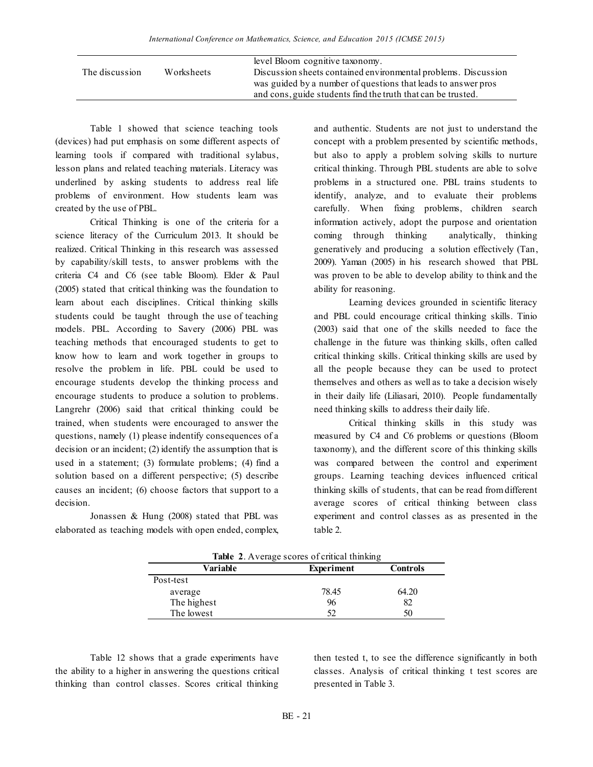|                |            | level Bloom cognitive taxonomy.                                |
|----------------|------------|----------------------------------------------------------------|
| The discussion | Worksheets | Discussion sheets contained environmental problems. Discussion |
|                |            | was guided by a number of questions that leads to answer pros  |
|                |            | and cons, guide students find the truth that can be trusted.   |
|                |            |                                                                |

Table 1 showed that science teaching tools (devices) had put emphasis on some different aspects of learning tools if compared with traditional sylabus, lesson plans and related teaching materials. Literacy was underlined by asking students to address real life problems of environment. How students learn was created by the use of PBL.

Critical Thinking is one of the criteria for a science literacy of the Curriculum 2013. It should be realized. Critical Thinking in this research was assessed by capability/skill tests, to answer problems with the criteria C4 and C6 (see table Bloom). Elder & Paul (2005) stated that critical thinking was the foundation to learn about each disciplines. Critical thinking skills students could be taught through the use of teaching models. PBL. According to Savery (2006) PBL was teaching methods that encouraged students to get to know how to learn and work together in groups to resolve the problem in life. PBL could be used to encourage students develop the thinking process and encourage students to produce a solution to problems. Langrehr (2006) said that critical thinking could be trained, when students were encouraged to answer the questions, namely (1) please indentify consequences of a decision or an incident; (2) identify the assumption that is used in a statement; (3) formulate problems; (4) find a solution based on a different perspective; (5) describe causes an incident; (6) choose factors that support to a decision.

Jonassen & Hung (2008) stated that PBL was elaborated as teaching models with open ended, complex, and authentic. Students are not just to understand the concept with a problem presented by scientific methods, but also to apply a problem solving skills to nurture critical thinking. Through PBL students are able to solve problems in a structured one. PBL trains students to identify, analyze, and to evaluate their problems carefully. When fixing problems, children search information actively, adopt the purpose and orientation coming through thinking analytically, thinking generatively and producing a solution effectively (Tan, 2009). Yaman (2005) in his research showed that PBL was proven to be able to develop ability to think and the ability for reasoning.

Learning devices grounded in scientific literacy and PBL could encourage critical thinking skills. Tinio (2003) said that one of the skills needed to face the challenge in the future was thinking skills, often called critical thinking skills. Critical thinking skills are used by all the people because they can be used to protect themselves and others as well as to take a decision wisely in their daily life (Liliasari, 2010). People fundamentally need thinking skills to address their daily life.

Critical thinking skills in this study was measured by C4 and C6 problems or questions (Bloom taxonomy), and the different score of this thinking skills was compared between the control and experiment groups. Learning teaching devices influenced critical thinking skills of students, that can be read from different average scores of critical thinking between class experiment and control classes as as presented in the table 2.

| <b>Table 2.</b> Average scores of critical thinking |                   |                 |  |  |  |
|-----------------------------------------------------|-------------------|-----------------|--|--|--|
| Variable                                            | <b>Experiment</b> | <b>Controls</b> |  |  |  |
| Post-test                                           |                   |                 |  |  |  |
| average                                             | 78.45             | 64.20           |  |  |  |
| The highest                                         | 96                | 82              |  |  |  |
| The lowest                                          | 52                | 50              |  |  |  |

**Table 2**. Average scores of critical thinking

Table 12 shows that a grade experiments have the ability to a higher in answering the questions critical thinking than control classes. Scores critical thinking then tested t, to see the difference significantly in both classes. Analysis of critical thinking t test scores are presented in Table 3.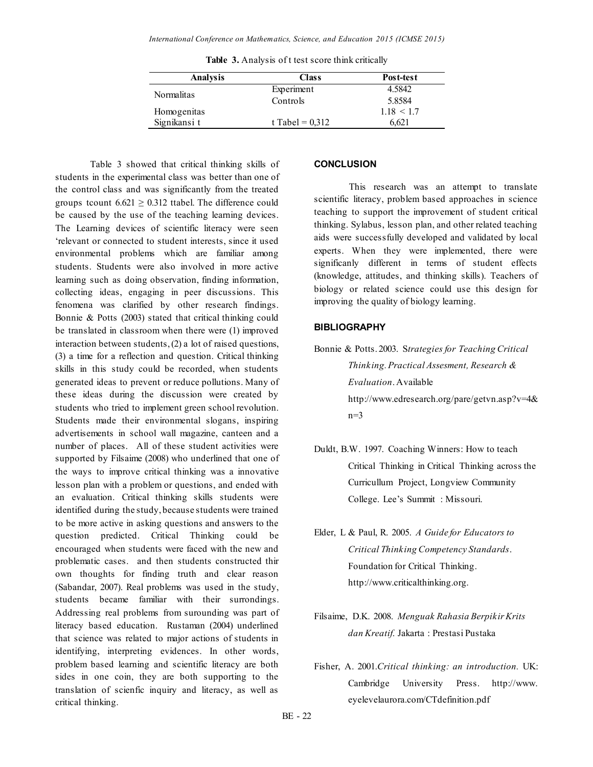| Analysis          | <b>Class</b>      | Post-test      |
|-------------------|-------------------|----------------|
| <b>Normalitas</b> | Experiment        | 4.5842         |
|                   | Controls          | 5.8584         |
| Homogenitas       |                   | $1.18 \le 1.7$ |
| Signikansi t      | t Tabel = $0.312$ | 6.621          |

**Table 3.** Analysis of t test score think critically

Table 3 showed that critical thinking skills of students in the experimental class was better than one of the control class and was significantly from the treated groups tcount  $6.621 \ge 0.312$  ttabel. The difference could be caused by the use of the teaching learning devices. The Learning devices of scientific literacy were seen "relevant or connected to student interests, since it used environmental problems which are familiar among students. Students were also involved in more active learning such as doing observation, finding information, collecting ideas, engaging in peer discussions. This fenomena was clarified by other research findings. Bonnie & Potts (2003) stated that critical thinking could be translated in classroom when there were (1) improved interaction between students, (2) a lot of raised questions, (3) a time for a reflection and question. Critical thinking skills in this study could be recorded, when students generated ideas to prevent or reduce pollutions. Many of these ideas during the discussion were created by students who tried to implement green school revolution. Students made their environmental slogans, inspiring advertisements in school wall magazine, canteen and a number of places. All of these student activities were supported by Filsaime (2008) who underlined that one of the ways to improve critical thinking was a innovative lesson plan with a problem or questions, and ended with an evaluation. Critical thinking skills students were identified during the study, because students were trained to be more active in asking questions and answers to the question predicted. Critical Thinking could be encouraged when students were faced with the new and problematic cases. and then students constructed thir own thoughts for finding truth and clear reason (Sabandar, 2007). Real problems was used in the study, students became familiar with their surrondings. Addressing real problems from surounding was part of literacy based education. Rustaman (2004) underlined that science was related to major actions of students in identifying, interpreting evidences. In other words, problem based learning and scientific literacy are both sides in one coin, they are both supporting to the translation of scienfic inquiry and literacy, as well as critical thinking.

### **CONCLUSION**

This research was an attempt to translate scientific literacy, problem based approaches in science teaching to support the improvement of student critical thinking. Sylabus, lesson plan, and other related teaching aids were successfully developed and validated by local experts. When they were implemented, there were significanly different in terms of student effects (knowledge, attitudes, and thinking skills). Teachers of biology or related science could use this design for improving the quality of biology learning.

### **BIBLIOGRAPHY**

Bonnie & Potts. 2003. S*trategies for Teaching Critical Thinking. Practical Assesment, Research & Evaluation*. Available http://www.edresearch.org/pare/getvn.asp?v=4&  $n=3$ 

- Duldt, B.W. 1997. Coaching Winners: How to teach Critical Thinking in Critical Thinking across the Curricullum Project, Longview Community College. Lee"s Summit : Missouri.
- Elder, L & Paul, R. 2005. *A Guide for Educators to Critical Thinking Competency Standards*. Foundation for Critical Thinking. http://www.criticalthinking.org.
- Filsaime, D.K. 2008. *Menguak Rahasia Berpikir Krits dan Kreatif*. Jakarta : Prestasi Pustaka
- Fisher, A. 2001.*Critical thinking: an introduction.* UK: Cambridge University Press. http://www. eyelevelaurora.com/CTdefinition.pdf

BE - 22